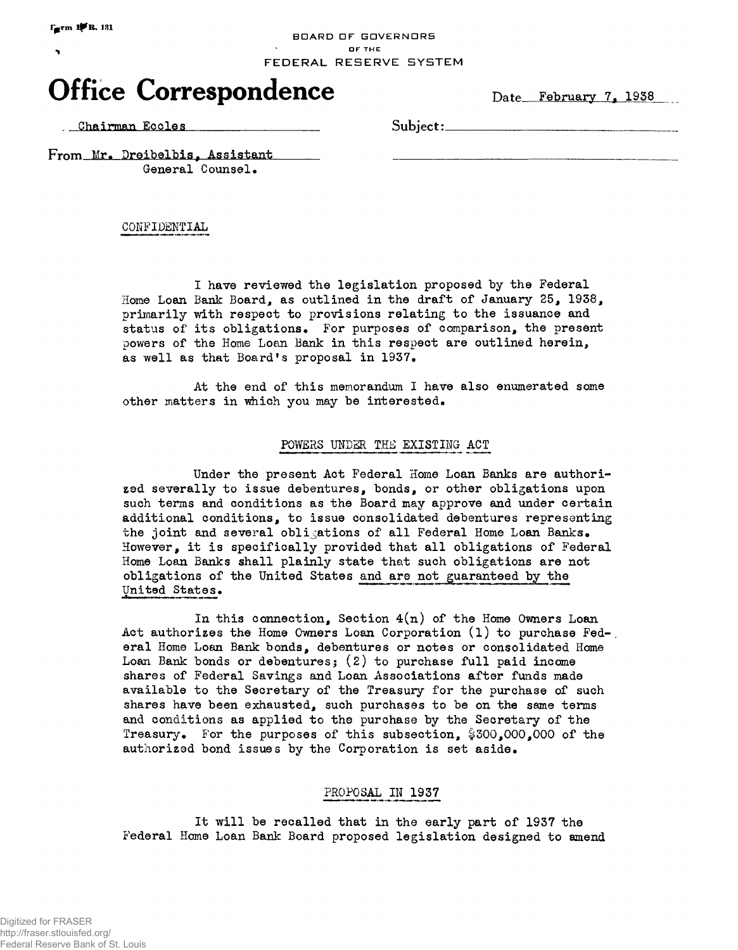#### **BDARD DF GOVERNORS** *A* DFTHE FEDERAL RESERVE SYSTEM

# **Office Correspondence** Date February 7, 1938

Chairman Eccles Subject:

From Mr. Dreibelbis, Assistant General Counsel.

CONFIDENTIAL

I have reviewed the legislation proposed by the Federal Home Loan Bank Board, as outlined in the draft of January 25, 1938, primarily with respect to provisions relating to the issuance and status of its obligations. For purposes of comparison, the present powers of the Home Loan Bank in this respect are outlined herein, as well as that Board's proposal in 1937.

At the end of this memorandum I have also enumerated some other matters in which you may be interested.

## POWERS UNDER THE EXISTING ACT

Under the present Act Federal Home Loan Banks are authorized severally to issue debentures, bonds, or other obligations upon such terms and conditions as the Board may approve and under certain additional conditions, to issue consolidated debentures representing the joint and several obligations of all Federal Home Loan Banks• However, it is specifically provided that all obligations of Federal Home Loan Banks shall plainly state that such obligations are not obligations of the United States and are not guaranteed by the United States.

In this connection, Section  $4(n)$  of the Home Owners Loan Act authorizes the Home Owners Loan Corporation  $(1)$  to purchase Fed-, eral Home Loan Bank bonds, debentures or notes or consolidated Home Loan Bank bonds or debentures; (2) to purchase full paid income shares of Federal Savings and Loan Associations after funds made available to the Secretary of the Treasury for the purchase of such shares have been exhausted, such purchases to be on the same terms and conditions as applied to the purchase by the Secretary of the Treasury. For the purposes of this subsection, §300,000,000 of the authorized bond issues by the Corporation is set aside.

### PROPOSAL IN 1937

It will be recalled that in the early part of 1937 the Federal Home Loan Bank Board proposed legislation designed to amend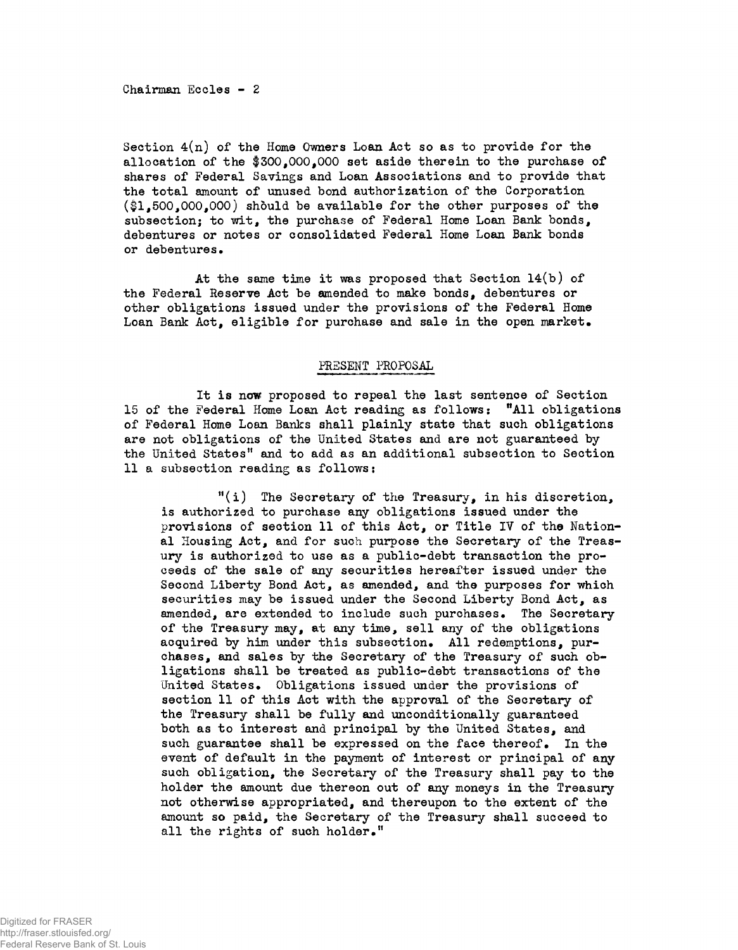Chairman Ecoles - 2

Section  $4(n)$  of the Home Owners Loan Act so as to provide for the allocation of the  $$300,000,000$  set aside therein to the purchase of shares of Federal Savings and Loan Associations and to provide that the total amount of unused bond authorization of the Corporation  $(*1.500.000.000)$  should be available for the other purposes of the subsection; to wit, the purchase of Federal Home Loan Bank bonds, debentures or notes or consolidated Federal Home Loan Bank bonds or debentures.

At the same time it was proposed that Section 14(b) of the Federal Reserve Act be amended to make bonds, debentures or other obligations issued under the provisions of the Federal Home Loan Bank Act, eligible for purchase and sale in the open market.

### PRESENT PROPOSAL

It is now proposed to repeal the last sentence of Section 15 of the Federal Home Loan Act reading as follows: "All obligations of Federal Home Loan Banks shall plainly state that such obligations are not obligations of the United States and are not guaranteed by the United States" and to add as an additional subsection to Section 11 a subsection reading as follows:

 $f'(i)$  The Secretary of the Treasury, in his discretion, is authorized to purchase any obligations issued under the provisions of section 11 of this Act, or Title IV of the National Housing Act, and for such purpose the Secretary of the Treasury is authorized to use as a public-debt transaction the proceeds of the sale of any securities hereafter issued under the Second Liberty Bond Act, as amended, and the purposes for which securities may be issued under the Second Liberty Bond Act, as amended, are extended to include such purchases. The Secretary of the Treasury may, at any time, sell any of the obligations acquired by him under this subsection. All redemptions, purchases, and sales by the Secretary of the Treasury of such obligations shall be treated as public-debt transactions of the United States. Obligations issued under the provisions of section 11 of this Act with the approval of the Secretary of the Treasury shall be fully and unconditionally guaranteed both as to interest and principal by the United States, and such guarantee shall be expressed on the face thereof. In the event of default in the payment of interest or principal of any such obligation, the Secretary of the Treasury shall pay to the holder the amount due thereon out of any moneys in the Treasury not otherwise appropriated, and thereupon to the extent of the amount so paid, the Secretary of the Treasury shall succeed to all the rights of such holder."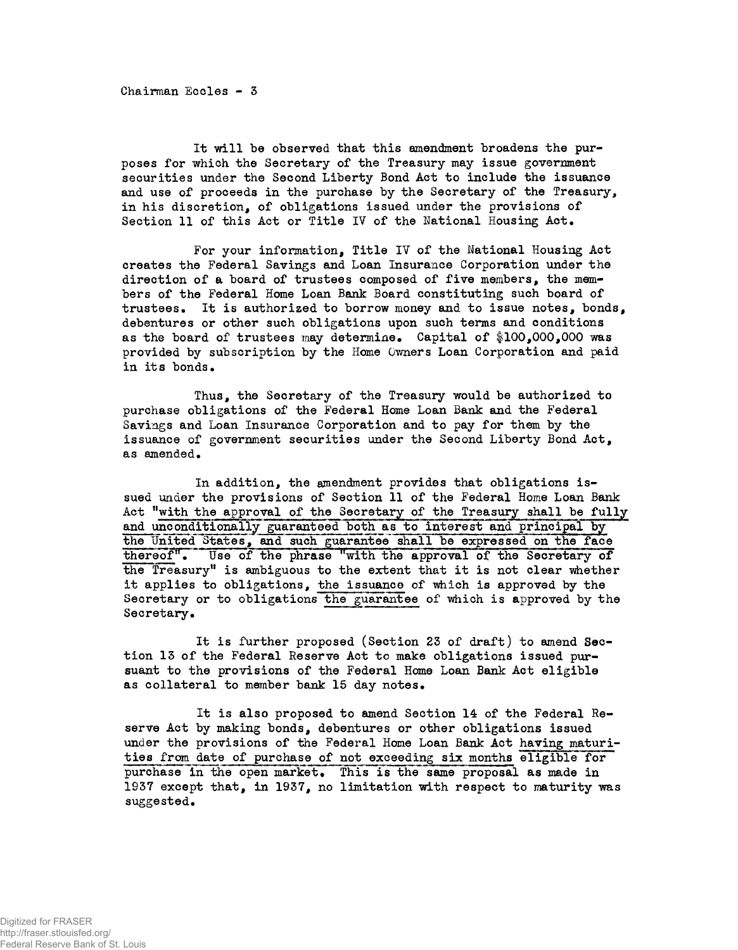Chairman Eccles - 3

It will be observed that this amendment broadens the purposes for which the Secretary of the Treasury may issue government securities under the Second Liberty Bond Act to include the issuance and use of proceeds in the purchase by the Secretary of the Treasury, in his discretion, of obligations issued under the provisions of Section 11 of this Act or Title IV of the National Housing Act.

For your information, Title IV of the National Housing Act creates the Federal Savings and Loan Insurance Corporation under the direction of a board of trustees composed of five members, the members of the Federal Home Loan Bank Board constituting such board of trustees. It is authorized to borrow money and to issue notes, bonds, debentures or other such obligations upon such terms and conditions as the board of trustees may determine. Capital of \$100,000,000 was provided by subscription by the Home Owners Loan Corporation and paid in its bonds.

Thus, the Secretary of the Treasury would be authorized to purchase obligations of the Federal Home Loan Bank and the Federal Savings and Loan Insurance Corporation and to pay for them by the issuance of government securities under the Second Liberty Bond Act, as amended.

In addition, the amendment provides that obligations issued under the provisions of Section 11 of the Federal Home Loan Bank Act "with the approval of the Secretary of the Treasury shall be fully and unconditionally guaranteed both as to interest and principal by the United States, and such guarantee shall be expressed on the face thereof". Use of the phrase "with the approval of the Secretary of the Treasury" is ambiguous to the extent that it is not clear whether it applies to obligations, the issuance of which is approved by the Secretary or to obligations the guarantee of which is approved by the Secretary.

It is further proposed (Section 23 of draft) to amend Section 13 of the Federal Reserve Act to make obligations issued pursuant to the provisions of the Federal Home Loan Bank Act eligible as collateral to member bank 15 day notes.

It is also proposed to amend Section 14 of the Federal Reserve Act by making bonds, debentures or other obligations issued under the provisions of the Federal Home Loan Bank Act having maturities from date of purchase of not exceeding six months eligible for purchase in the open market. This is the same proposal as made in 1937 except that, in 1937, no limitation with respect to maturity was suggested.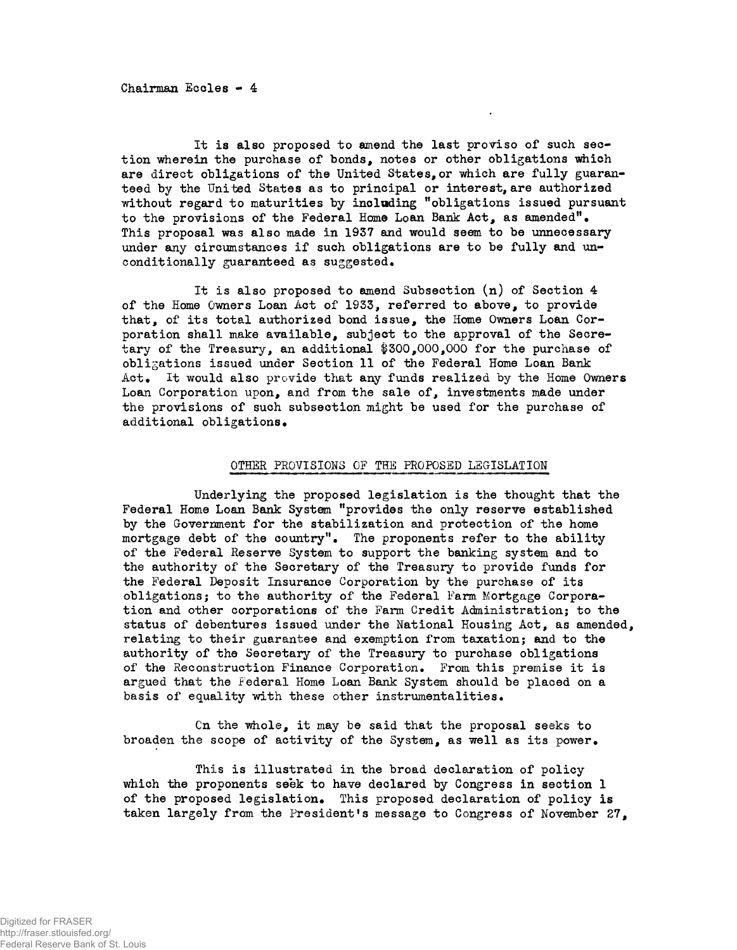Chairman Eccles - 4

It is also proposed to amend the last proviso of such section wherein the purchase of bonds, notes or other obligations which are direct obligations of the United States,or which are fully guaranteed by the United States as to principal or interest, are authorized without regard to maturities by including "obligations issued pursuant to the provisions of the Federal Home Loan Bank Act, as amended"• This proposal was also made in 1937 and would seem to be unnecessary under any circumstances if such obligations are to be fully and unconditionally guaranteed as suggested.

It is also proposed to amend Subsection (n) of Section 4 of the Home Owners Loan Act of 1933, referred to above, to provide that, of its total authorized bond issue, the Home Owners Loan Corporation shall make available, subject to the approval of the Secretary of the Treasury, an additional §300,000,000 for the purchase of obligations issued under Section 11 of the Federal Home Loan Bank Act. It would also provide that any funds realized by the Home Owners Loan Corporation upon, and from the sale of, investments made under the provisions of such subsection might be used for the purchase of additional obligations.

#### OTHER PROVISIONS OF THE PROPOSED LEGISLATION

Underlying the proposed legislation is the thought that the Federal Home Loan Bank System "provides the only reserve established by the Government for the stabilization and protection of the home mortgage debt of the country". The proponents refer to the ability of the Federal Reserve System to support the banking system and to the authority of the Secretary of the Treasury to provide funds for the Federal Deposit Insurance Corporation by the purchase of its obligations; to the authority of the Federal Farm Mortgage Corporation and other corporations of the Farm Credit Administration; to the status of debentures issued under the National Housing Act, as amended, relating to their guarantee and exemption from taxation; and to the authority of the Secretary of the Treasury to purchase obligations of the Reconstruction Finance Corporation. From this premise it is argued that the Federal Home Loan Bank System should be placed on a basis of equality with these other Instrumentalities.

Cn the whole, it may be said that the proposal seeks to broaden the scope of activity of the System, as well as its power.

This is illustrated in the broad declaration of policy which the proponents seek to have declared by Congress in section 1 of the proposed legislation. This proposed declaration of policy is taken largely from the President's message to Congress of November 27,